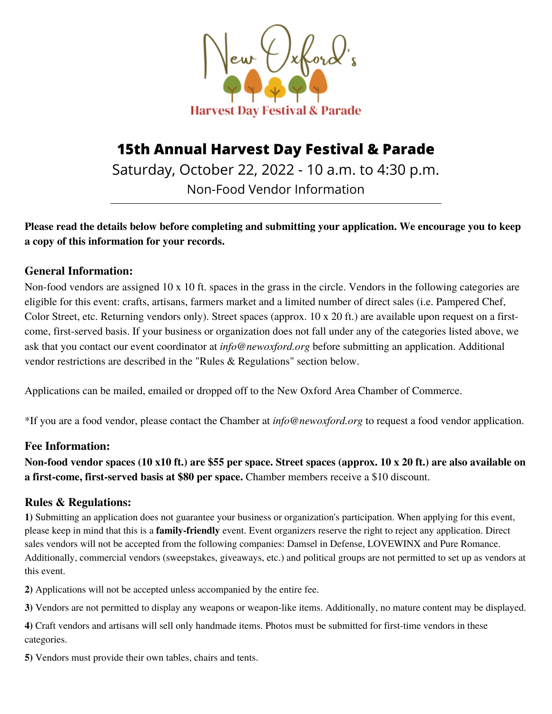

# **15th Annual Harvest Day Festival & Parade**

Saturday, October 22, 2022 - 10 a.m. to 4:30 p.m. Non-Food Vendor Information

**Please read the details below before completing and submitting your application. We encourage you to keep a copy of this information for your records.**

### **General Information:**

Non-food vendors are assigned 10 x 10 ft. spaces in the grass in the circle. Vendors in the following categories are eligible for this event: crafts, artisans, farmers market and a limited number of direct sales (i.e. Pampered Chef, Color Street, etc. Returning vendors only). Street spaces (approx. 10 x 20 ft.) are available upon request on a firstcome, first-served basis. If your business or organization does not fall under any of the categories listed above, we ask that you contact our event coordinator at *info@newoxford.org* before submitting an application. Additional vendor restrictions are described in the "Rules & Regulations" section below.

Applications can be mailed, emailed or dropped off to the New Oxford Area Chamber of Commerce.

\*If you are a food vendor, please contact the Chamber at *info@newoxford.org* to request a food vendor application.

### **Fee Information:**

**Non-food vendor spaces (10 x10 ft.) are \$55 per space. Street spaces (approx. 10 x 20 ft.) are also available on a first-come, first-served basis at \$80 per space.** Chamber members receive a \$10 discount.

### **Rules & Regulations:**

**1)** Submitting an application does not guarantee your business or organization's participation. When applying for this event, please keep in mind that this is a **family-friendly** event. Event organizers reserve the right to reject any application. Direct sales vendors will not be accepted from the following companies: Damsel in Defense, LOVEWINX and Pure Romance. Additionally, commercial vendors (sweepstakes, giveaways, etc.) and political groups are not permitted to set up as vendors at this event.

**2)** Applications will not be accepted unless accompanied by the entire fee.

**3)** Vendors are not permitted to display any weapons or weapon-like items. Additionally, no mature content may be displayed.

**4)** Craft vendors and artisans will sell only handmade items. Photos must be submitted for first-time vendors in these categories.

**5)** Vendors must provide their own tables, chairs and tents.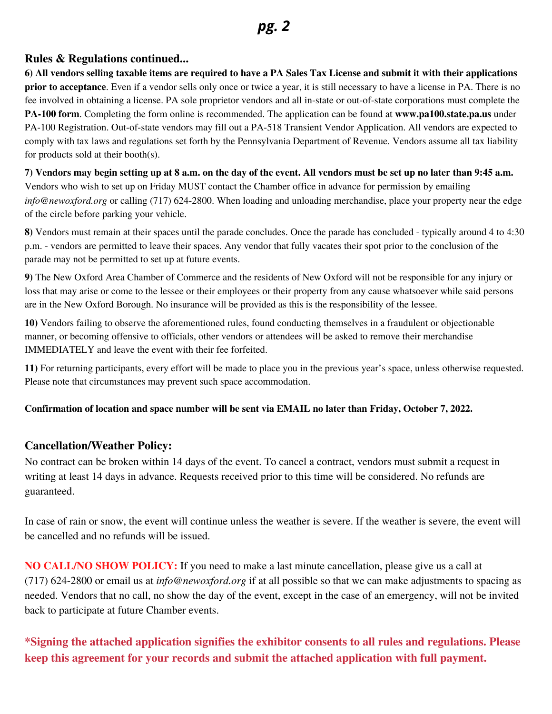## *pg. 2*

#### **Rules & Regulations continued...**

6) All vendors selling taxable items are required to have a PA Sales Tax License and submit it with their applications **prior to acceptance**. Even if a vendor sells only once or twice a year, it is still necessary to have a license in PA. There is no fee involved in obtaining a license. PA sole proprietor vendors and all in-state or out-of-state corporations must complete the **PA‐100 form**. Completing the form online is recommended. The application can be found at **www.pa100.state.pa.us** under PA-100 Registration. Out-of-state vendors may fill out a PA-518 Transient Vendor Application. All vendors are expected to comply with tax laws and regulations set forth by the Pennsylvania Department of Revenue. Vendors assume all tax liability for products sold at their booth(s).

7) Vendors may begin setting up at 8 a.m. on the day of the event. All vendors must be set up no later than 9:45 a.m. Vendors who wish to set up on Friday MUST contact the Chamber office in advance for permission by emailing *[info@newoxford.org](mailto:info@newoxford.org)* or calling (717) 624-2800. When loading and unloading merchandise, place your property near the edge of the circle before parking your vehicle.

**8)** Vendors must remain at their spaces until the parade concludes. Once the parade has concluded - typically around 4 to 4:30 p.m. - vendors are permitted to leave their spaces. Any vendor that fully vacates their spot prior to the conclusion of the parade may not be permitted to set up at future events.

**9)** The New Oxford Area Chamber of Commerce and the residents of New Oxford will not be responsible for any injury or loss that may arise or come to the lessee or their employees or their property from any cause whatsoever while said persons are in the New Oxford Borough. No insurance will be provided as this is the responsibility of the lessee.

**10)** Vendors failing to observe the aforementioned rules, found conducting themselves in a fraudulent or objectionable manner, or becoming offensive to officials, other vendors or attendees will be asked to remove their merchandise IMMEDIATELY and leave the event with their fee forfeited.

**11)** For returning participants, every effort will be made to place you in the previous year's space, unless otherwise requested. Please note that circumstances may prevent such space accommodation.

#### Confirmation of location and space number will be sent via EMAIL no later than Friday, October 7, 2022.

#### **Cancellation/Weather Policy:**

No contract can be broken within 14 days of the event. To cancel a contract, vendors must submit a request in writing at least 14 days in advance. Requests received prior to this time will be considered. No refunds are guaranteed.

In case of rain or snow, the event will continue unless the weather is severe. If the weather is severe, the event will be cancelled and no refunds will be issued.

**NO CALL/NO SHOW POLICY:** If you need to make a last minute cancellation, please give us a call at (717) 624-2800 or email us at *info@newoxford.org* if at all possible so that we can make adjustments to spacing as needed. Vendors that no call, no show the day of the event, except in the case of an emergency, will not be invited back to participate at future Chamber events.

### **\*Signing the attached application signifies the exhibitor consents to all rules and regulations. Please keep this agreement for your records and submit the attached application with full payment.**